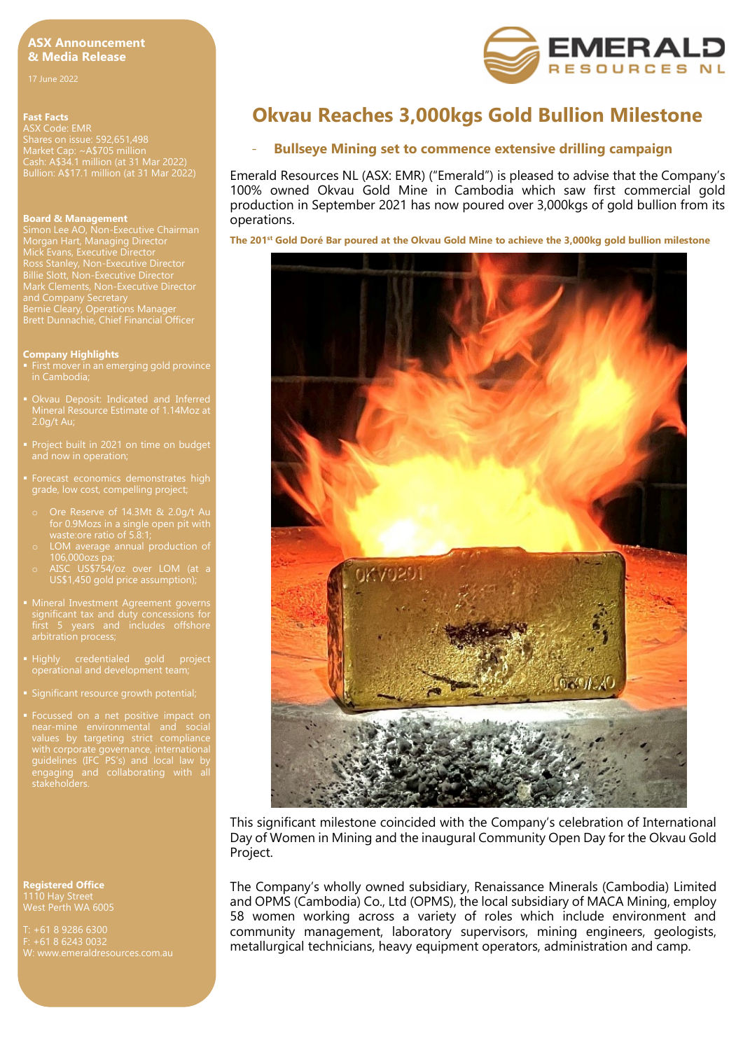## **ASX Announcement & Media Release**

# **Fast Facts**

ASX Code: EMR Shares on issue: 592,651,498 Market Cap: ~A\$705 million Cash: A\$34.1 million (at 31 Mar 2022) Bullion: A\$17.1 million (at 31 Mar 2022)

#### **Board & Management**

Morgan Hart, Managing Director Mick Evans, Executive Director Billie Slott, Non-Executive Director Mark Clements, Non-Executive Director and Company Secretary Bernie Cleary, Operations Manager Brett Dunnachie, Chief Financial Officer

#### **Company Highlights**

- First mover in an emerging gold province
- Mineral Resource Estimate of 1.14Moz at 2.0g/t Au;
- 
- 
- 
- o LOM average annual production of 106,000ozs pa;
- o AISC US\$754/oz over LOM (at a US\$1,450 gold price assumption);
- **Mineral Investment Agreement governs**
- 
- **Significant resource growth potential;**
- guidelines (IFC PS's) and local law by engaging and collaborating with all

**Registered Office** 1110 Hay Street West Perth WA 6005

+61 8 6243 0032



# **Okvau Reaches 3,000kgs Gold Bullion Milestone**

## - **Bullseye Mining set to commence extensive drilling campaign**

Emerald Resources NL (ASX: EMR) ("Emerald") is pleased to advise that the Company's 100% owned Okvau Gold Mine in Cambodia which saw first commercial gold production in September 2021 has now poured over 3,000kgs of gold bullion from its operations.

**The 201st Gold Doré Bar poured at the Okvau Gold Mine to achieve the 3,000kg gold bullion milestone**



This significant milestone coincided with the Company's celebration of International Day of Women in Mining and the inaugural Community Open Day for the Okvau Gold Project.

The Company's wholly owned subsidiary, Renaissance Minerals (Cambodia) Limited and OPMS (Cambodia) Co., Ltd (OPMS), the local subsidiary of MACA Mining, employ 58 women working across a variety of roles which include environment and community management, laboratory supervisors, mining engineers, geologists, metallurgical technicians, heavy equipment operators, administration and camp.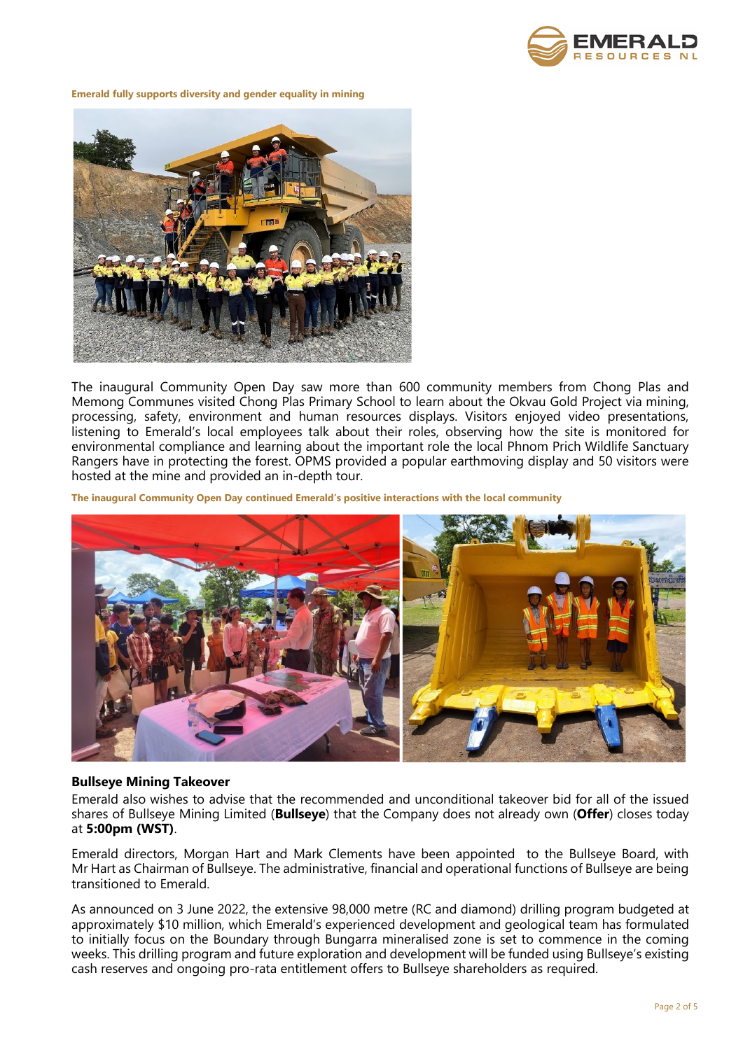

**Emerald fully supports diversity and gender equality in mining**



The inaugural Community Open Day saw more than 600 community members from Chong Plas and Memong Communes visited Chong Plas Primary School to learn about the Okvau Gold Project via mining, processing, safety, environment and human resources displays. Visitors enjoyed video presentations, listening to Emerald's local employees talk about their roles, observing how the site is monitored for environmental compliance and learning about the important role the local Phnom Prich Wildlife Sanctuary Rangers have in protecting the forest. OPMS provided a popular earthmoving display and 50 visitors were hosted at the mine and provided an in-depth tour.

**The inaugural Community Open Day continued Emerald's positive interactions with the local community**



## **Bullseye Mining Takeover**

Emerald also wishes to advise that the recommended and unconditional takeover bid for all of the issued shares of Bullseye Mining Limited (**Bullseye**) that the Company does not already own (**Offer**) closes today at **5:00pm (WST)**.

Emerald directors, Morgan Hart and Mark Clements have been appointed to the Bullseye Board, with Mr Hart as Chairman of Bullseye. The administrative, financial and operational functions of Bullseye are being transitioned to Emerald.

As announced on 3 June 2022, the extensive 98,000 metre (RC and diamond) drilling program budgeted at approximately \$10 million, which Emerald's experienced development and geological team has formulated to initially focus on the Boundary through Bungarra mineralised zone is set to commence in the coming weeks. This drilling program and future exploration and development will be funded using Bullseye's existing cash reserves and ongoing pro-rata entitlement offers to Bullseye shareholders as required.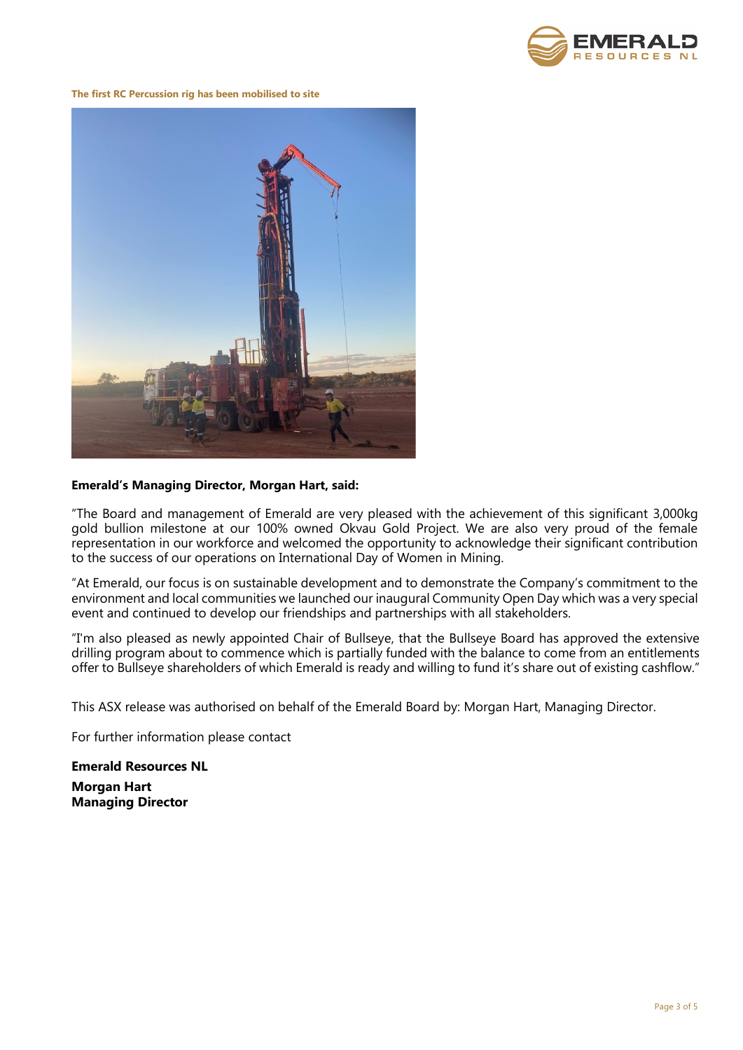

**The first RC Percussion rig has been mobilised to site**



# **Emerald's Managing Director, Morgan Hart, said:**

"The Board and management of Emerald are very pleased with the achievement of this significant 3,000kg gold bullion milestone at our 100% owned Okvau Gold Project. We are also very proud of the female representation in our workforce and welcomed the opportunity to acknowledge their significant contribution to the success of our operations on International Day of Women in Mining.

"At Emerald, our focus is on sustainable development and to demonstrate the Company's commitment to the environment and local communities we launched our inaugural Community Open Day which was a very special event and continued to develop our friendships and partnerships with all stakeholders.

"I'm also pleased as newly appointed Chair of Bullseye, that the Bullseye Board has approved the extensive drilling program about to commence which is partially funded with the balance to come from an entitlements offer to Bullseye shareholders of which Emerald is ready and willing to fund it's share out of existing cashflow."

This ASX release was authorised on behalf of the Emerald Board by: Morgan Hart, Managing Director.

For further information please contact

**Emerald Resources NL Morgan Hart Managing Director**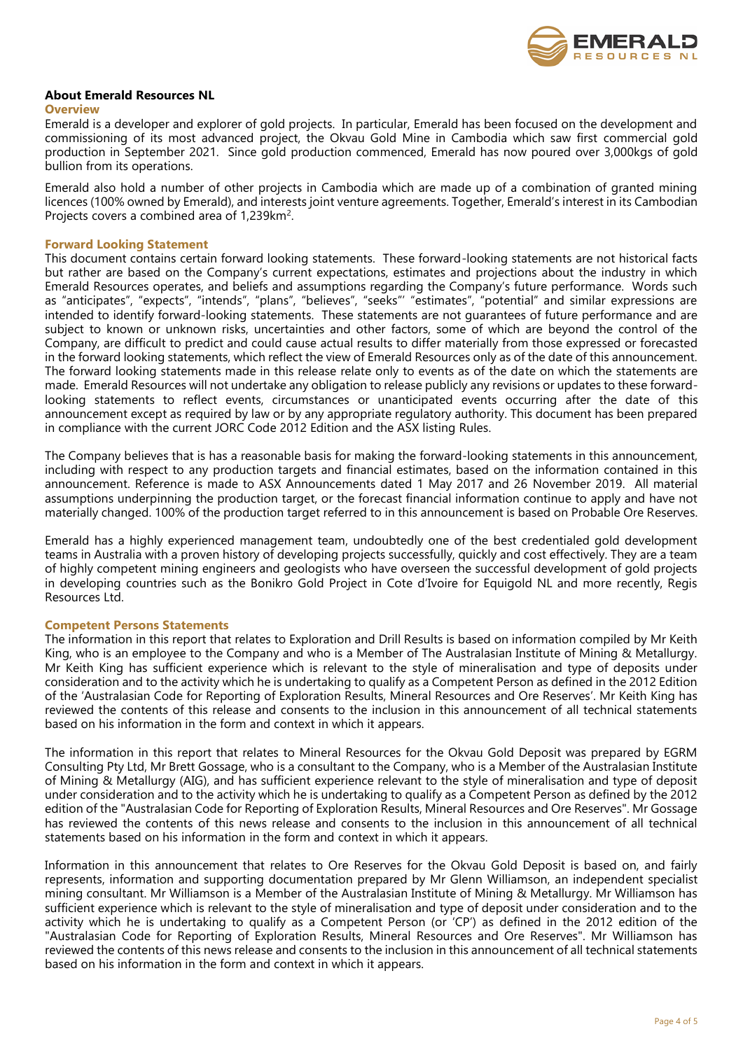

## **About Emerald Resources NL**

#### **Overview**

Emerald is a developer and explorer of gold projects. In particular, Emerald has been focused on the development and commissioning of its most advanced project, the Okvau Gold Mine in Cambodia which saw first commercial gold production in September 2021. Since gold production commenced, Emerald has now poured over 3,000kgs of gold bullion from its operations.

Emerald also hold a number of other projects in Cambodia which are made up of a combination of granted mining licences (100% owned by Emerald), and interests joint venture agreements. Together, Emerald's interest in its Cambodian Projects covers a combined area of 1,239km<sup>2</sup>.

## **Forward Looking Statement**

This document contains certain forward looking statements. These forward-looking statements are not historical facts but rather are based on the Company's current expectations, estimates and projections about the industry in which Emerald Resources operates, and beliefs and assumptions regarding the Company's future performance. Words such as "anticipates", "expects", "intends", "plans", "believes", "seeks"' "estimates", "potential" and similar expressions are intended to identify forward-looking statements. These statements are not guarantees of future performance and are subject to known or unknown risks, uncertainties and other factors, some of which are beyond the control of the Company, are difficult to predict and could cause actual results to differ materially from those expressed or forecasted in the forward looking statements, which reflect the view of Emerald Resources only as of the date of this announcement. The forward looking statements made in this release relate only to events as of the date on which the statements are made. Emerald Resources will not undertake any obligation to release publicly any revisions or updates to these forwardlooking statements to reflect events, circumstances or unanticipated events occurring after the date of this announcement except as required by law or by any appropriate regulatory authority. This document has been prepared in compliance with the current JORC Code 2012 Edition and the ASX listing Rules.

The Company believes that is has a reasonable basis for making the forward-looking statements in this announcement, including with respect to any production targets and financial estimates, based on the information contained in this announcement. Reference is made to ASX Announcements dated 1 May 2017 and 26 November 2019. All material assumptions underpinning the production target, or the forecast financial information continue to apply and have not materially changed. 100% of the production target referred to in this announcement is based on Probable Ore Reserves.

Emerald has a highly experienced management team, undoubtedly one of the best credentialed gold development teams in Australia with a proven history of developing projects successfully, quickly and cost effectively. They are a team of highly competent mining engineers and geologists who have overseen the successful development of gold projects in developing countries such as the Bonikro Gold Project in Cote d'Ivoire for Equigold NL and more recently, Regis Resources Ltd.

## **Competent Persons Statements**

The information in this report that relates to Exploration and Drill Results is based on information compiled by Mr Keith King, who is an employee to the Company and who is a Member of The Australasian Institute of Mining & Metallurgy. Mr Keith King has sufficient experience which is relevant to the style of mineralisation and type of deposits under consideration and to the activity which he is undertaking to qualify as a Competent Person as defined in the 2012 Edition of the 'Australasian Code for Reporting of Exploration Results, Mineral Resources and Ore Reserves'. Mr Keith King has reviewed the contents of this release and consents to the inclusion in this announcement of all technical statements based on his information in the form and context in which it appears.

The information in this report that relates to Mineral Resources for the Okvau Gold Deposit was prepared by EGRM Consulting Pty Ltd, Mr Brett Gossage, who is a consultant to the Company, who is a Member of the Australasian Institute of Mining & Metallurgy (AIG), and has sufficient experience relevant to the style of mineralisation and type of deposit under consideration and to the activity which he is undertaking to qualify as a Competent Person as defined by the 2012 edition of the "Australasian Code for Reporting of Exploration Results, Mineral Resources and Ore Reserves". Mr Gossage has reviewed the contents of this news release and consents to the inclusion in this announcement of all technical statements based on his information in the form and context in which it appears.

Information in this announcement that relates to Ore Reserves for the Okvau Gold Deposit is based on, and fairly represents, information and supporting documentation prepared by Mr Glenn Williamson, an independent specialist mining consultant. Mr Williamson is a Member of the Australasian Institute of Mining & Metallurgy. Mr Williamson has sufficient experience which is relevant to the style of mineralisation and type of deposit under consideration and to the activity which he is undertaking to qualify as a Competent Person (or 'CP') as defined in the 2012 edition of the "Australasian Code for Reporting of Exploration Results, Mineral Resources and Ore Reserves". Mr Williamson has reviewed the contents of this news release and consents to the inclusion in this announcement of all technical statements based on his information in the form and context in which it appears.